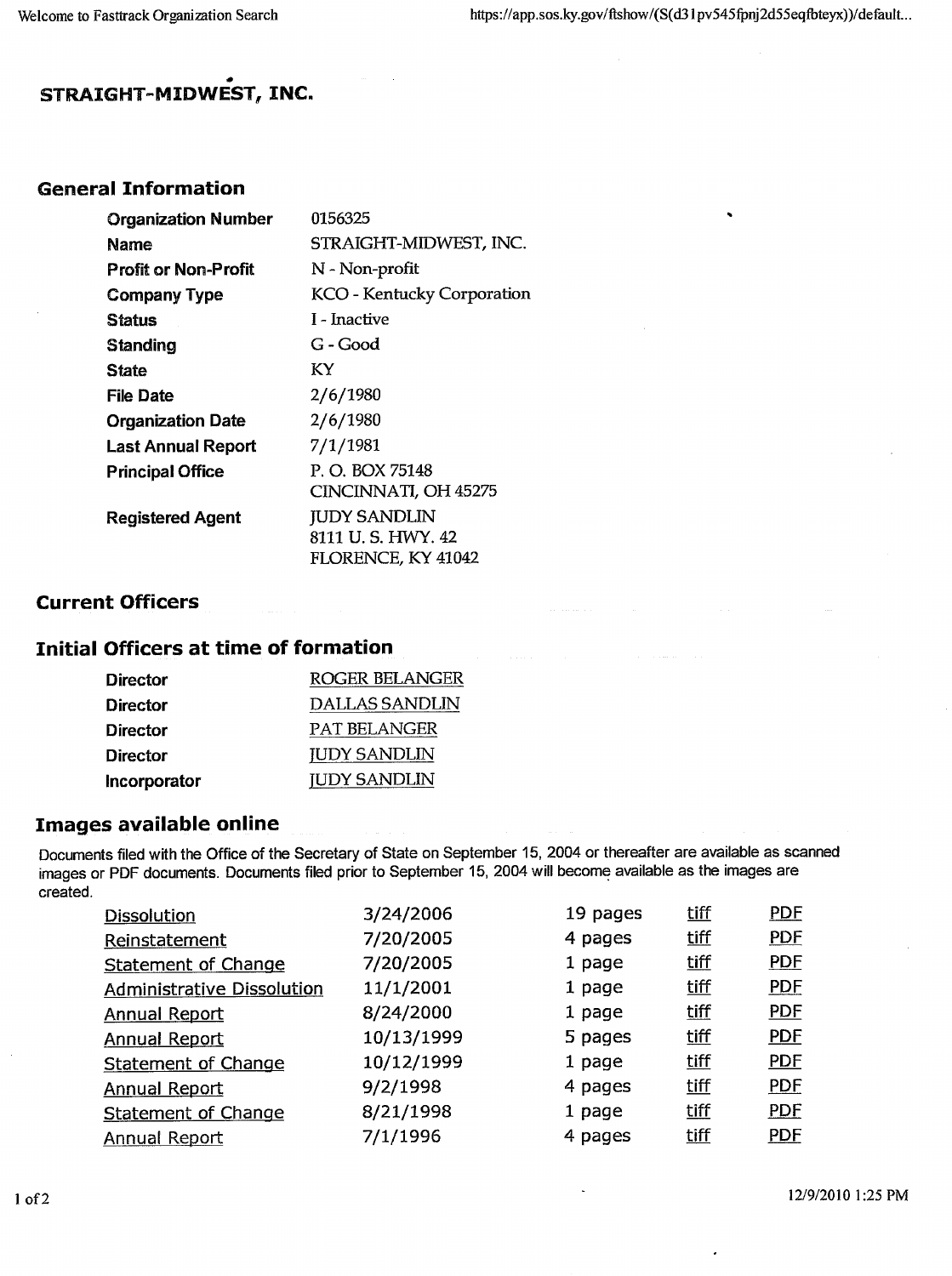$\ddot{\phantom{0}}$ 

### **STRAIGHT-MIDWEST, INC.**

#### **General Information**

| <b>Organization Number</b> | 0156325                           |
|----------------------------|-----------------------------------|
| Name                       | STRAIGHT-MIDWEST, INC.            |
| Profit or Non-Profit       | N - Non-profit                    |
| <b>Company Type</b>        | <b>KCO</b> - Kentucky Corporation |
| Status                     | I - Inactive                      |
| <b>Standing</b>            | G - Good                          |
| <b>State</b>               | KY                                |
| File Date                  | 2/6/1980                          |
| <b>Organization Date</b>   | 2/6/1980                          |
| <b>Last Annual Report</b>  | 7/1/1981                          |
| <b>Principal Office</b>    | P. O. BOX 75148                   |
|                            | CINCINNATI, OH 45275              |
| <b>Registered Agent</b>    | <b>JUDY SANDLIN</b>               |
|                            | 8111 U.S. HWY. 42                 |
|                            | FLORENCE, KY 41042                |

#### **Current Officers**

# **Initial Officers at time of formation**

| <b>Director</b> | ROGER BELANGER      |
|-----------------|---------------------|
| Director        | DALLAS SANDLIN      |
| Director        | <b>PAT BELANGER</b> |
| Director        | <b>JUDY SANDLIN</b> |
| Incorporator    | <b>JUDY SANDLIN</b> |

#### **Images available online**

Documents filed with the Office of the Secretary of State on September 15, 2004 or thereafter are available as scanned images or PDF documents. Documents filed prior to September 15, 2004 will become available as the images are created.

| <b>Dissolution</b>                | 3/24/2006  | 19 pages | tiff | <b>PDF</b> |
|-----------------------------------|------------|----------|------|------------|
| Reinstatement                     | 7/20/2005  | 4 pages  | tiff | <b>PDF</b> |
| <b>Statement of Change</b>        | 7/20/2005  | 1 page   | tiff | <b>PDF</b> |
| <b>Administrative Dissolution</b> | 11/1/2001  | 1 page   | tiff | <b>PDF</b> |
| <b>Annual Report</b>              | 8/24/2000  | 1 page   | tiff | <b>PDF</b> |
| <b>Annual Report</b>              | 10/13/1999 | 5 pages  | tiff | <b>PDF</b> |
| <b>Statement of Change</b>        | 10/12/1999 | 1 page   | tiff | <b>PDF</b> |
| <b>Annual Report</b>              | 9/2/1998   | 4 pages  | tiff | <b>PDF</b> |
| Statement of Change               | 8/21/1998  | 1 page   | tiff | <b>PDF</b> |
| <b>Annual Report</b>              | 7/1/1996   | 4 pages  | tiff | <b>PDF</b> |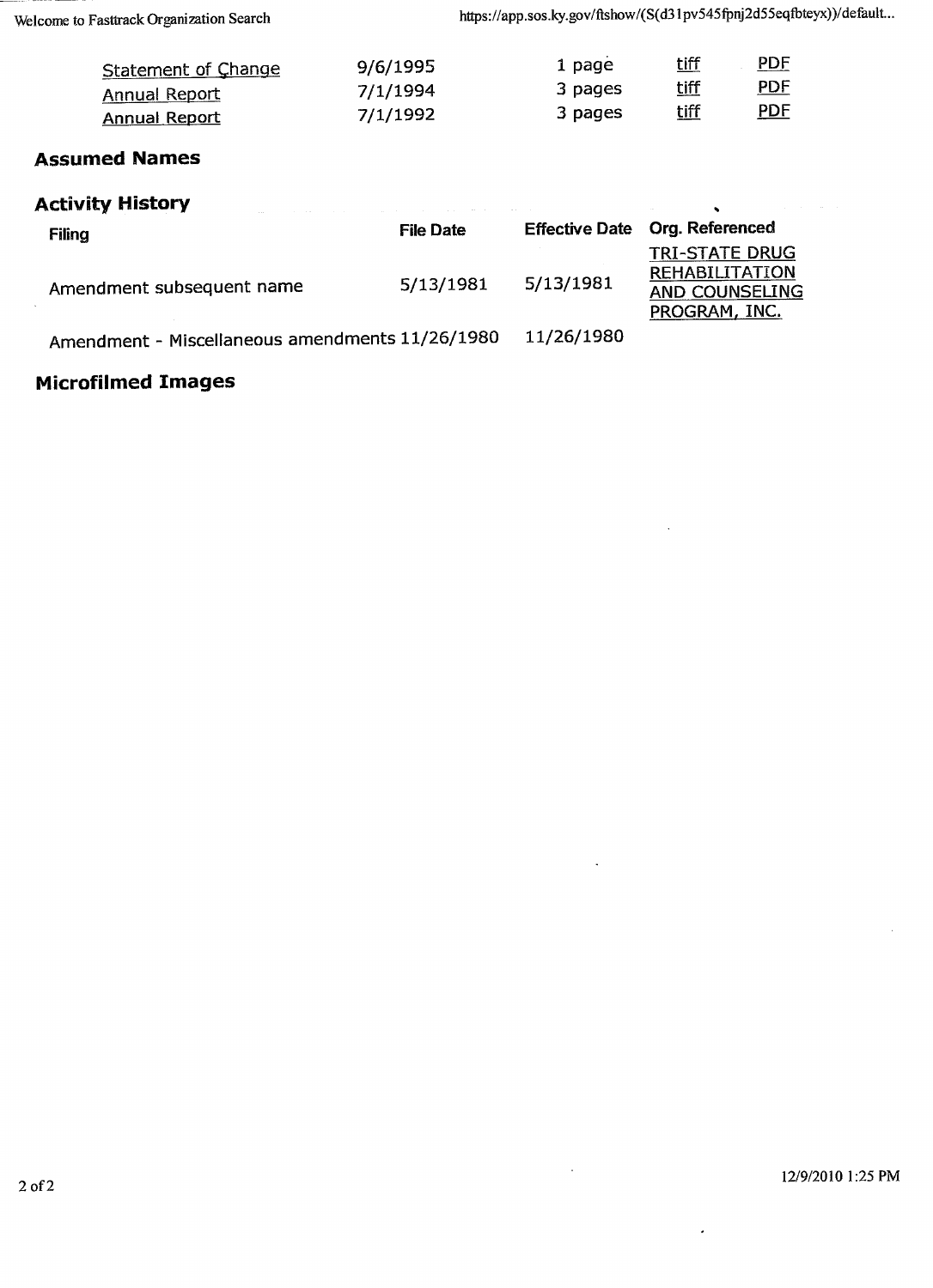| Statement of Change  | 9/6/1995 | 1 page  | <u>tiff</u> | <b>PDF</b> |
|----------------------|----------|---------|-------------|------------|
| Annual Report        | 7/1/1994 | 3 pages | tiff        | <u>PDF</u> |
| <b>Annual Report</b> | 7/1/1992 | 3 pages | <u>tiff</u> | <u>PDF</u> |

### **Assumed Names**

| <b>Activity History</b>                         |                  |                       |                                                                                   |  |  |
|-------------------------------------------------|------------------|-----------------------|-----------------------------------------------------------------------------------|--|--|
| Filing                                          | <b>File Date</b> | <b>Effective Date</b> | <b>Org. Referenced</b>                                                            |  |  |
| Amendment subsequent name                       | 5/13/1981        | 5/13/1981             | <b>TRI-STATE DRUG</b><br><b>REHABILITATION</b><br>AND COUNSELING<br>PROGRAM, INC. |  |  |
| Amendment - Miscellaneous amendments 11/26/1980 |                  | 11/26/1980            |                                                                                   |  |  |

# **Microfilmed Images**

 $\overline{\phantom{a}}$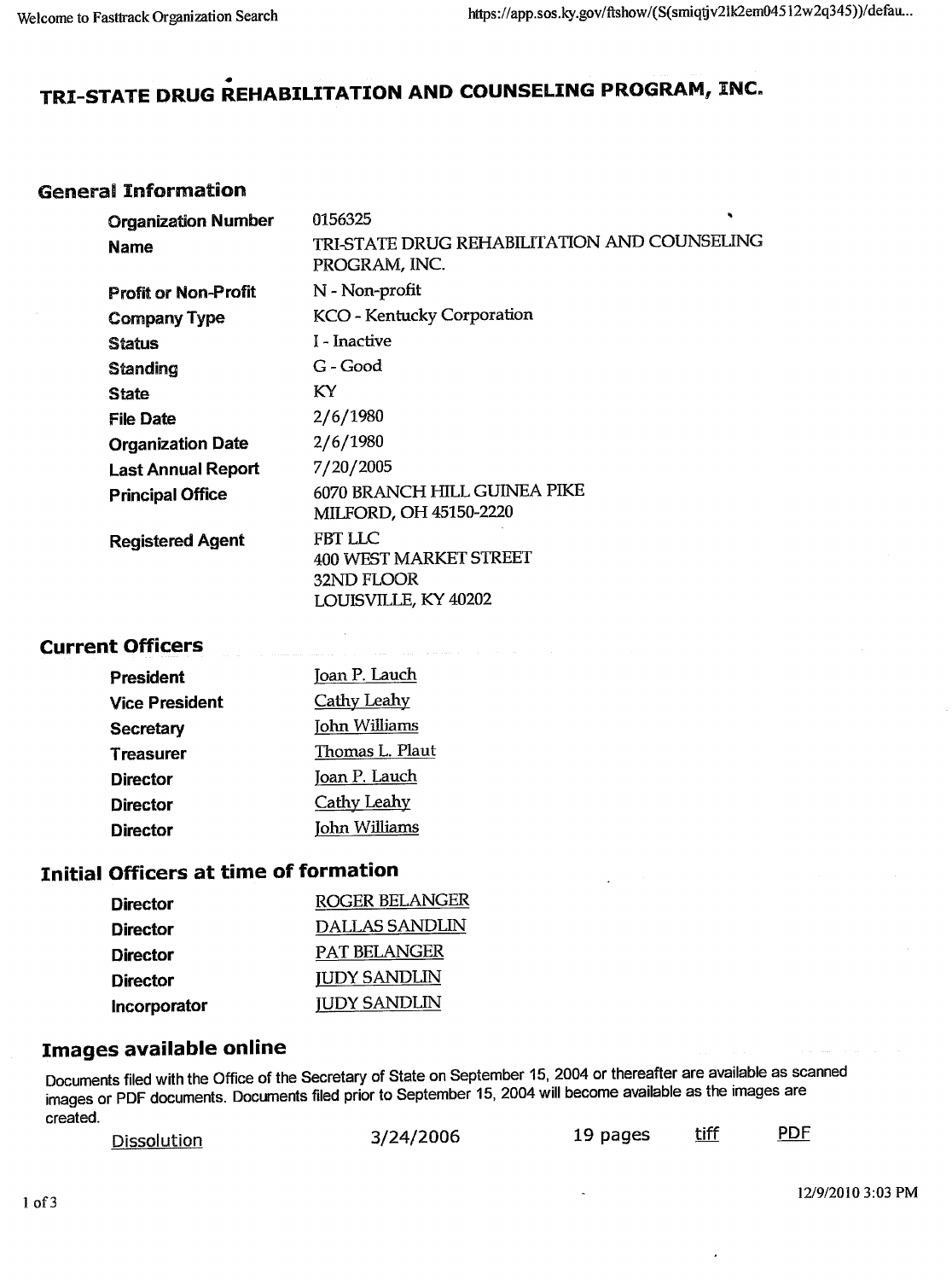# **TRI-STATE DRUG REHABILITATION AND COUNSELING PROGRAM, INC.**

### General Information

| <b>Organization Number</b><br><b>Name</b> | 0156325<br>TRI-STATE DRUG REHABILITATION AND COUNSELING<br>PROGRAM, INC.              |
|-------------------------------------------|---------------------------------------------------------------------------------------|
| <b>Profit or Non-Profit</b>               | N - Non-profit                                                                        |
| <b>Company Type</b>                       | <b>KCO - Kentucky Corporation</b>                                                     |
| <b>Status</b>                             | I - Inactive                                                                          |
| <b>Standing</b>                           | G - Good                                                                              |
| <b>State</b>                              | KY.                                                                                   |
| <b>File Date</b>                          | 2/6/1980                                                                              |
| <b>Organization Date</b>                  | 2/6/1980                                                                              |
| <b>Last Annual Report</b>                 | 7/20/2005                                                                             |
| <b>Principal Office</b>                   | 6070 BRANCH HILL GUINEA PIKE<br>MILFORD, OH 45150-2220                                |
| <b>Registered Agent</b>                   | FBT LLC<br><b>400 WEST MARKET STREET</b><br>32ND FLOOR<br><b>LOUISVILLE, KY 40202</b> |

#### **Current Officers**

| President             | Joan P. Lauch      |
|-----------------------|--------------------|
| <b>Vice President</b> | <b>Cathy Leahy</b> |
| <b>Secretary</b>      | John Williams      |
| <b>Treasurer</b>      | Thomas L. Plaut    |
| <b>Director</b>       | Joan P. Lauch      |
| Director              | <b>Cathy Leahy</b> |
| Director              | John Williams      |

### **Initial Officers at time of formation**

| Director     | <b>ROGER BELANGER</b> |
|--------------|-----------------------|
| Director     | <b>DALLAS SANDLIN</b> |
| Director     | PAT BELANGER          |
| Director     | <b>JUDY SANDLIN</b>   |
| Incorporator | <b>JUDY SANDLIN</b>   |

### **Images available online**

Documents filed with the Office of the Secretary of State on September 15, 2004 or thereafter are available as scanned images or PDF documents. Documents filed prior to September 15, 2004 will become available as the images are rnayca c

| <u>Dissolution</u> | 3/24/2006 | 19 pages | <u>tiff</u> | <b>PDF</b> |
|--------------------|-----------|----------|-------------|------------|
|                    |           |          |             |            |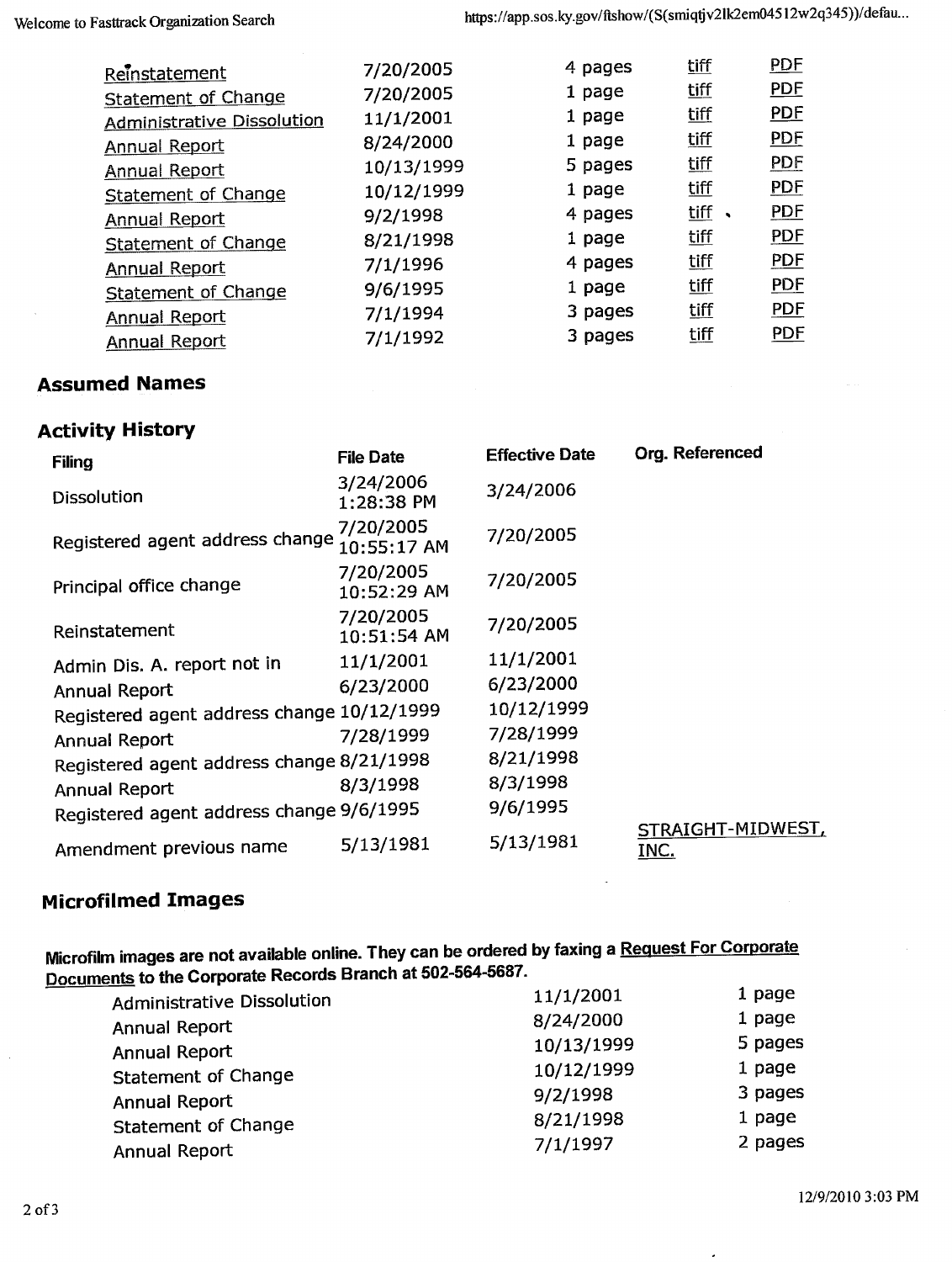|            |           |                              | <b>PDF</b>                 |
|------------|-----------|------------------------------|----------------------------|
|            |           |                              |                            |
| 7/20/2005  | 1 page    |                              | <b>PDF</b>                 |
| 11/1/2001  | 1 page    | <u>tiff</u>                  | <b>PDF</b>                 |
| 8/24/2000  | 1 page    | <u>tiff</u>                  | <b>PDF</b>                 |
| 10/13/1999 | 5 pages   | <u>tiff</u>                  | <b>PDF</b>                 |
| 10/12/1999 | 1 page    | tiff                         | <b>PDF</b>                 |
| 9/2/1998   | 4 pages   | tiff<br>$\ddot{\phantom{0}}$ | <b>PDF</b>                 |
| 8/21/1998  | 1 page    | <u>tiff</u>                  | <b>PDF</b>                 |
| 7/1/1996   | 4 pages   | tiff                         | <b>PDF</b>                 |
| 9/6/1995   | 1 page    | <u>tiff</u>                  | <b>PDE</b>                 |
| 7/1/1994   | 3 pages   | tiff                         | <b>PDF</b>                 |
| 7/1/1992   | 3 pages   | <u>tiff</u>                  | <b>PDF</b>                 |
|            | 7/20/2005 | 4 pages                      | <u>tiff</u><br><u>tiff</u> |

#### **Assumed Names**

#### **Activity History**

| <b>Filing</b>                              | <b>File Date</b>         | <b>Effective Date</b> | Org. Referenced           |
|--------------------------------------------|--------------------------|-----------------------|---------------------------|
| <b>Dissolution</b>                         | 3/24/2006<br>1:28:38 PM  | 3/24/2006             |                           |
| Registered agent address change            | 7/20/2005<br>10:55:17 AM | 7/20/2005             |                           |
| Principal office change                    | 7/20/2005<br>10:52:29 AM | 7/20/2005             |                           |
| Reinstatement                              | 7/20/2005<br>10:51:54 AM | 7/20/2005             |                           |
| Admin Dis. A. report not in                | 11/1/2001                | 11/1/2001             |                           |
| <b>Annual Report</b>                       | 6/23/2000                | 6/23/2000             |                           |
| Registered agent address change 10/12/1999 |                          | 10/12/1999            |                           |
| Annual Report                              | 7/28/1999                | 7/28/1999             |                           |
| Registered agent address change 8/21/1998  |                          | 8/21/1998             |                           |
| Annual Report                              | 8/3/1998                 | 8/3/1998              |                           |
| Registered agent address change 9/6/1995   |                          | 9/6/1995              |                           |
| Amendment previous name                    | 5/13/1981                | 5/13/1981             | STRAIGHT-MIDWEST,<br>INC. |

# **Microfilmed Images**

**Microfilm images are not available online. They can be ordered by faxing a Request For Corporate Documents to the Corporate Records Branch at 502-564-5687.**

| <b>Administrative Dissolution</b> | 11/1/2001  | 1 page  |
|-----------------------------------|------------|---------|
| Annual Report                     | 8/24/2000  | 1 page  |
| Annual Report                     | 10/13/1999 | 5 pages |
|                                   | 10/12/1999 | 1 page  |
| <b>Statement of Change</b>        | 9/2/1998   | 3 pages |
| Annual Report                     |            |         |
| <b>Statement of Change</b>        | 8/21/1998  | 1 page  |
| Annual Report                     | 7/1/1997   | 2 pages |